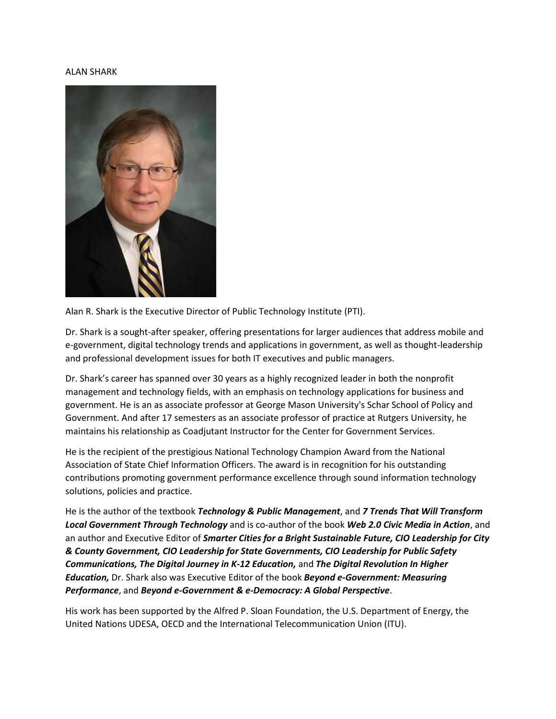## ALAN SHARK



[Alan R. Shark](mailto:ashark@pti.org) is the Executive Director of Public Technology Institute (PTI).

Dr. Shark is a sought-after speaker, offering presentations for larger audiences that address mobile and e-government, digital technology trends and applications in government, as well as thought-leadership and professional development issues for both IT executives and public managers.

Dr. Shark's career has spanned over 30 years as a highly recognized leader in both the nonprofit management and technology fields, with an emphasis on technology applications for business and government. He is an as associate professor at George Mason University's Schar School of Policy and Government. And after 17 semesters as an associate professor of practice at Rutgers University, he maintains his relationship as Coadjutant Instructor for the Center for Government Services.

He is the recipient of the prestigious National Technology Champion Award from the National Association of State Chief Information Officers. The award is in recognition for his outstanding contributions promoting government performance excellence through sound information technology solutions, policies and practice.

He is the author of the textbook *Technology & Public Management*, and *7 Trends That Will Transform Local Government Through Technology* and is co-author of the book *Web 2.0 Civic Media in Action*, and an author and Executive Editor of *Smarter Cities for a Bright Sustainable Future, CIO Leadership for City & County Government, CIO Leadership for State Governments, CIO Leadership for Public Safety Communications, The Digital Journey in K-12 Education,* and *The Digital Revolution In Higher Education,* Dr. Shark also was Executive Editor of the book *Beyond e-Government: Measuring Performance*, and *Beyond e-Government & e-Democracy: A Global Perspective*.

His work has been supported by the Alfred P. Sloan Foundation, the U.S. Department of Energy, the United Nations UDESA, OECD and the International Telecommunication Union (ITU).